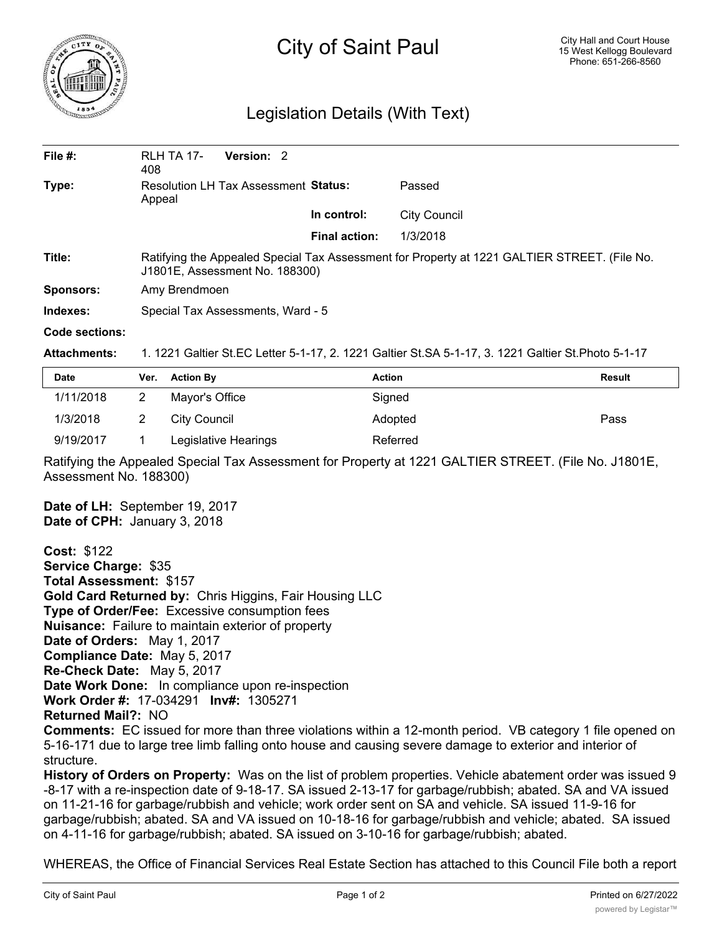

## City of Saint Paul

## Legislation Details (With Text)

| File $#$ :       | <b>RLH TA 17-</b><br>408                                                                                                       | Version: 2 |  |                      |                     |  |  |
|------------------|--------------------------------------------------------------------------------------------------------------------------------|------------|--|----------------------|---------------------|--|--|
| Type:            | <b>Resolution LH Tax Assessment Status:</b><br>Appeal                                                                          |            |  |                      | Passed              |  |  |
|                  |                                                                                                                                |            |  | In control:          | <b>City Council</b> |  |  |
|                  |                                                                                                                                |            |  | <b>Final action:</b> | 1/3/2018            |  |  |
| Title:           | Ratifying the Appealed Special Tax Assessment for Property at 1221 GALTIER STREET. (File No.<br>J1801E, Assessment No. 188300) |            |  |                      |                     |  |  |
| <b>Sponsors:</b> | Amy Brendmoen                                                                                                                  |            |  |                      |                     |  |  |
| Indexes:         | Special Tax Assessments, Ward - 5                                                                                              |            |  |                      |                     |  |  |
| Code sections:   |                                                                                                                                |            |  |                      |                     |  |  |

**Attachments:** 1. 1221 Galtier St.EC Letter 5-1-17, 2. 1221 Galtier St.SA 5-1-17, 3. 1221 Galtier St.Photo 5-1-17

| <b>Date</b> | Ver. Action By       | <b>Action</b> | Result |
|-------------|----------------------|---------------|--------|
| 1/11/2018   | Mayor's Office       | Signed        |        |
| 1/3/2018    | City Council         | Adopted       | Pass   |
| 9/19/2017   | Legislative Hearings | Referred      |        |

Ratifying the Appealed Special Tax Assessment for Property at 1221 GALTIER STREET. (File No. J1801E, Assessment No. 188300)

**Date of LH:** September 19, 2017 **Date of CPH:** January 3, 2018

**Cost:** \$122 **Service Charge:** \$35 **Total Assessment:** \$157 **Gold Card Returned by:** Chris Higgins, Fair Housing LLC **Type of Order/Fee:** Excessive consumption fees **Nuisance:** Failure to maintain exterior of property **Date of Orders:** May 1, 2017 **Compliance Date:** May 5, 2017 **Re-Check Date:** May 5, 2017 **Date Work Done:** In compliance upon re-inspection **Work Order #:** 17-034291 **Inv#:** 1305271 **Returned Mail?:** NO **Comments:** EC issued for more than three violations within a 12-month period. VB category 1 file opened on

5-16-171 due to large tree limb falling onto house and causing severe damage to exterior and interior of structure.

**History of Orders on Property:** Was on the list of problem properties. Vehicle abatement order was issued 9 -8-17 with a re-inspection date of 9-18-17. SA issued 2-13-17 for garbage/rubbish; abated. SA and VA issued on 11-21-16 for garbage/rubbish and vehicle; work order sent on SA and vehicle. SA issued 11-9-16 for garbage/rubbish; abated. SA and VA issued on 10-18-16 for garbage/rubbish and vehicle; abated. SA issued on 4-11-16 for garbage/rubbish; abated. SA issued on 3-10-16 for garbage/rubbish; abated.

WHEREAS, the Office of Financial Services Real Estate Section has attached to this Council File both a report